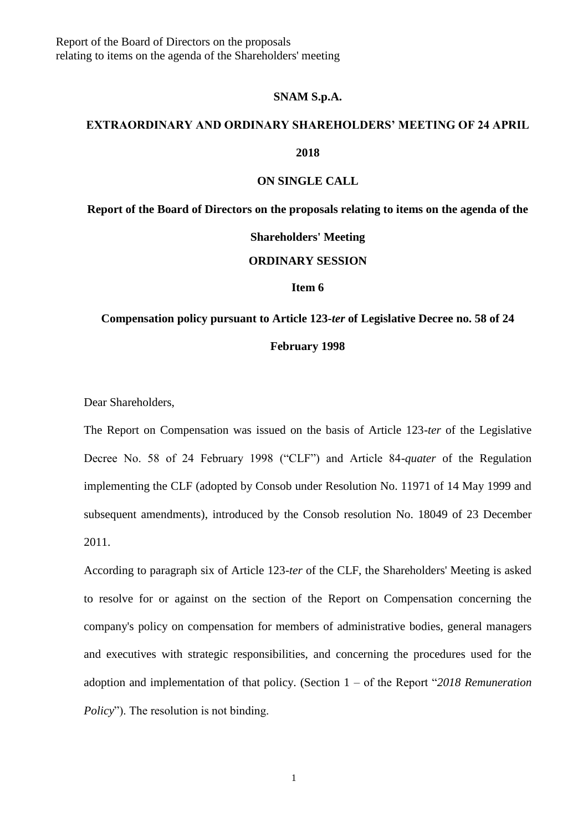#### **SNAM S.p.A.**

# **EXTRAORDINARY AND ORDINARY SHAREHOLDERS' MEETING OF 24 APRIL**

### **2018**

#### **ON SINGLE CALL**

**Report of the Board of Directors on the proposals relating to items on the agenda of the** 

#### **Shareholders' Meeting**

#### **ORDINARY SESSION**

#### **Item 6**

## **Compensation policy pursuant to Article 123-***ter* **of Legislative Decree no. 58 of 24 February 1998**

Dear Shareholders,

The Report on Compensation was issued on the basis of Article 123-*ter* of the Legislative Decree No. 58 of 24 February 1998 ("CLF") and Article 84-*quater* of the Regulation implementing the CLF (adopted by Consob under Resolution No. 11971 of 14 May 1999 and subsequent amendments), introduced by the Consob resolution No. 18049 of 23 December 2011.

According to paragraph six of Article 123-*ter* of the CLF, the Shareholders' Meeting is asked to resolve for or against on the section of the Report on Compensation concerning the company's policy on compensation for members of administrative bodies, general managers and executives with strategic responsibilities, and concerning the procedures used for the adoption and implementation of that policy. (Section 1 – of the Report "*2018 Remuneration Policy*"). The resolution is not binding.